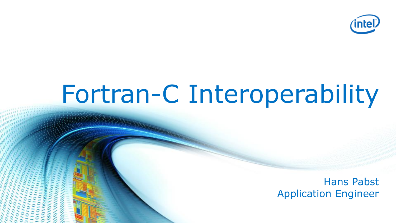

# Fortran-C Interoperability

Hans Pabst Application Engineer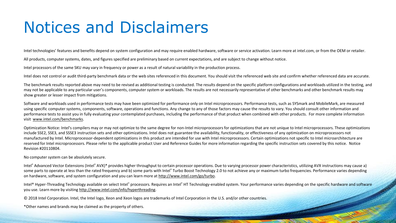#### Notices and Disclaimers

Intel technologies' features and benefits depend on system configuration and may require enabled hardware, software or service activation. Learn more at intel.com, or from the OEM or retailer.

All products, computer systems, dates, and figures specified are preliminary based on current expectations, and are subject to change without notice.

Intel processors of the same SKU may vary in frequency or power as a result of natural variability in the production process.

Intel does not control or audit third-party benchmark data or the web sites referenced in this document. You should visit the referenced web site and confirm whether referenced data are accurate.

The benchmark results reported above may need to be revised as additional testing is conducted. The results depend on the specific platform configurations and workloads utilized in the testing, and may not be applicable to any particular user's components, computer system or workloads. The results are not necessarily representative of other benchmarks and other benchmark results may show greater or lesser impact from mitigations.

Software and workloads used in performance tests may have been optimized for performance only on Intel microprocessors. Performance tests, such as SYSmark and MobileMark, are measured using specific computer systems, components, software, operations and functions. Any change to any of those factors may cause the results to vary. You should consult other information and performance tests to assist you in fully evaluating your contemplated purchases, including the performance of that product when combined with other products. For more complete information visit www.intel.com/benchmarks.

Optimization Notice: Intel's compilers may or may not optimize to the same degree for non-Intel microprocessors for optimizations that are not unique to Intel microprocessors. These optimizations include SSE2, SSE3, and SSSE3 instruction sets and other optimizations. Intel does not guarantee the availability, functionality, or effectiveness of any optimization on microprocessors not manufactured by Intel. Microprocessor-dependent optimizations in this product are intended for use with Intel microprocessors. Certain optimizations not specific to Intel microarchitecture are reserved for Intel microprocessors. Please refer to the applicable product User and Reference Guides for more information regarding the specific instruction sets covered by this notice. Notice Revision #20110804.

No computer system can be absolutely secure.

Intel® Advanced Vector Extensions (Intel® AVX)\* provides higher throughput to certain processor operations. Due to varying processor power characteristics, utilizing AVX instructions may cause a) some parts to operate at less than the rated frequency and b) some parts with Intel® Turbo Boost Technology 2.0 to not achieve any or maximum turbo frequencies. Performance varies depending on hardware, software, and system configuration and you can learn more at http://www.intel.com/go/turbo.

Intel® Hyper-Threading Technology available on select Intel® processors. Requires an Intel® HT Technology-enabled system. Your performance varies depending on the specific hardware and software you use. Learn more by visiting http://www.intel.com/info/hyperthreading.

© 2018 Intel Corporation. Intel, the Intel logo, Xeon and Xeon logos are trademarks of Intel Corporation in the U.S. and/or other countries.

\*Other names and brands may be claimed as the property of others.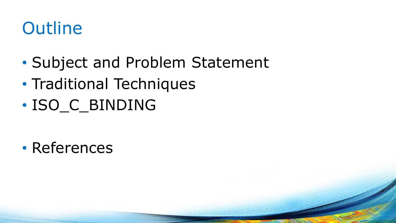#### **Outline**

- Subject and Problem Statement
- Traditional Techniques
- ISO\_C\_BINDING

• References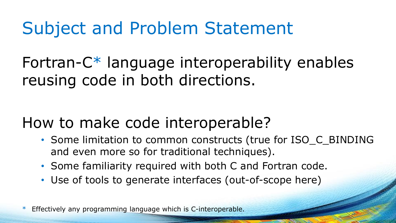#### Subject and Problem Statement

Fortran-C\* language interoperability enables reusing code in both directions.

#### How to make code interoperable?

- Some limitation to common constructs (true for ISO\_C\_BINDING and even more so for traditional techniques).
- Some familiarity required with both C and Fortran code.
- Use of tools to generate interfaces (out-of-scope here)

Effectively any programming language which is C-interoperable.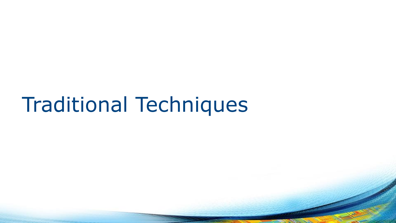## Traditional Techniques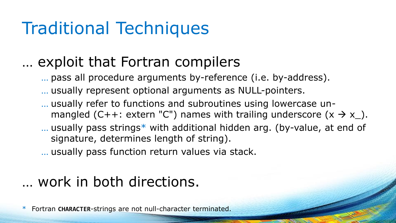#### Traditional Techniques

#### … exploit that Fortran compilers

… pass all procedure arguments by-reference (i.e. by-address).

… usually represent optional arguments as NULL-pointers.

- … usually refer to functions and subroutines using lowercase unmangled (C++: extern "C") names with trailing underscore  $(x \rightarrow x_{\_})$ .
- … usually pass strings\* with additional hidden arg. (by-value, at end of signature, determines length of string).

… usually pass function return values via stack.

#### … work in both directions.

\* Fortran **CHARACTER**-strings are not null-character terminated.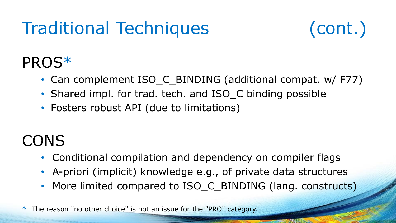## Traditional Techniques (cont.)



#### PROS\*

- Can complement ISO\_C\_BINDING (additional compat. w/ F77)
- Shared impl. for trad. tech. and ISO C binding possible
- Fosters robust API (due to limitations)

#### **CONS**

- Conditional compilation and dependency on compiler flags
- A-priori (implicit) knowledge e.g., of private data structures
- More limited compared to ISO\_C\_BINDING (lang. constructs)

\* The reason "no other choice" is not an issue for the "PRO" category.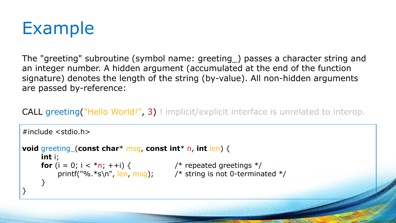

The "greeting" subroutine (symbol name: greeting\_) passes a character string and an integer number. A hidden argument (accumulated at the end of the function signature) denotes the length of the string (by-value). All non-hidden arguments are passed by-reference:

CALL greeting ("Hello World!", 3)! implicit/explicit interface is unrelated to interop.

```
#include <stdio.h>
void greeting_(const char* msg, const int* n, int len) {
     int i;
     for (i = 0; i < *n; ++i) { * /* repeated greetings */
         printf("%.*s\n", len, msg); \frac{1}{2} /* string is not 0-terminated */
     }
}
```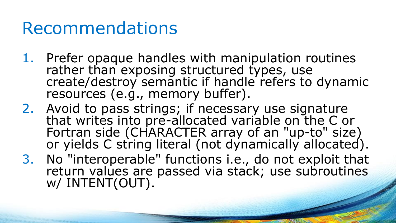#### Recommendations

- 1. Prefer opaque handles with manipulation routines rather than exposing structured types, use create/destroy semantic if handle refers to dynamic resources (e.g., memory buffer).
- 2. Avoid to pass strings; if necessary use signature that writes into pre-allocated variable on the C or Fortran side (CHARACTER array of an "up-to" size) or yields C string literal (not dynamically allocated).
- 3. No "interoperable" functions i.e., do not exploit that return values are passed via stack; use subroutines w/ INTENT(OUT).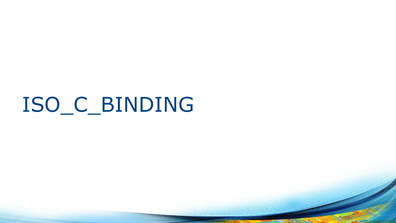# ISO\_C\_BINDING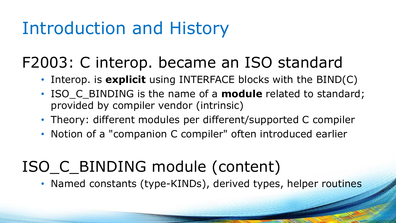#### Introduction and History

#### F2003: C interop. became an ISO standard

- Interop. is **explicit** using INTERFACE blocks with the BIND(C)
- ISO C BINDING is the name of a **module** related to standard; provided by compiler vendor (intrinsic)
- Theory: different modules per different/supported C compiler
- Notion of a "companion C compiler" often introduced earlier

#### ISO\_C\_BINDING module (content)

• Named constants (type-KINDs), derived types, helper routines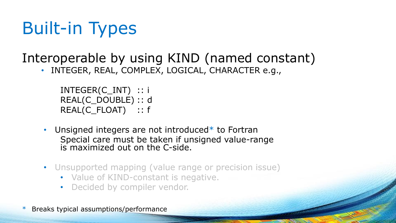## Built-in Types

#### Interoperable by using KIND (named constant)

INTEGER, REAL, COMPLEX, LOGICAL, CHARACTER e.g.,

```
INTEGER(C_INT) :: i
REAL(C_DOUBLE) :: d
REAL(C_FLOAT) :: f
```
- Unsigned integers are not introduced\* to Fortran Special care must be taken if unsigned value-range is maximized out on the C-side.
- Unsupported mapping (value range or precision issue)
	- Value of KIND-constant is negative.
	- Decided by compiler vendor.
- Breaks typical assumptions/performance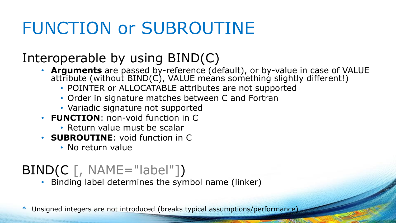#### FUNCTION or SUBROUTINE

#### Interoperable by using BIND(C)

- **Arguments** are passed by-reference (default), or by-value in case of VALUE attribute (without BIND(C), VALUE means something slightly different!)
	- POINTER or ALLOCATABLE attributes are not supported
	- Order in signature matches between C and Fortran
	- Variadic signature not supported
- **FUNCTION**: non-void function in C
	- Return value must be scalar
- **SUBROUTINE**: void function in C
	- No return value

#### $BIND(C \mid, NAME="label"]$

• Binding label determines the symbol name (linker)

\* Unsigned integers are not introduced (breaks typical assumptions/performance)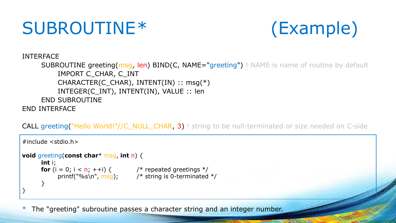#### SUBROUTINE\* (Example)



INTERFACE

SUBROUTINE greeting(msg, len) BIND(C, NAME="greeting") ! NAME is name of routine by default IMPORT C\_CHAR, C\_INT CHARACTER(C\_CHAR), INTENT(IN) :: msg(\*) INTEGER(C\_INT), INTENT(IN), VALUE :: len END SUBROUTINE END INTERFACE

CALL greeting("Hello World!"//C\_NULL\_CHAR, 3) ! string to be null-terminated or size needed on C-side

```
#include <stdio.h>
void greeting(const char* msg, int n) {
       int i;
       for (i = 0; i < n; ++i) { \prime * repeated greetings */
             printf("%s\n", msg); \frac{1}{2} /* string is 0-terminated \frac{1}{2}/
       }
}
```
\* The "greeting" subroutine passes a character string and an integer number.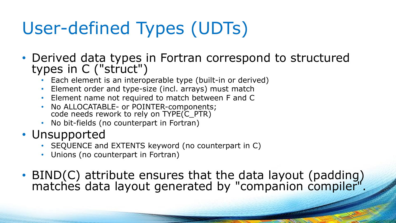## User-defined Types (UDTs)

- Derived data types in Fortran correspond to structured types in C ("struct")
	- Each element is an interoperable type (built-in or derived)
	- Element order and type-size (incl. arrays) must match
	- Element name not required to match between F and C
	- No ALLOCATABLE- or POINTER-components; code needs rework to rely on TYPE(C\_PTR)
	- No bit-fields (no counterpart in Fortran)
- Unsupported
	- SEQUENCE and EXTENTS keyword (no counterpart in C)
	- Unions (no counterpart in Fortran)
- BIND(C) attribute ensures that the data layout (padding) matches data layout generated by "companion compiler".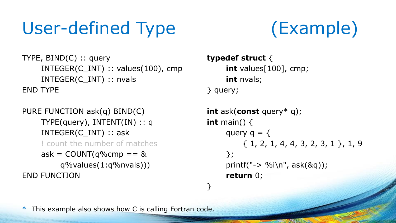## User-defined Type (Example)



TYPE, BIND(C) :: query INTEGER(C\_INT) :: values(100), cmp INTEGER(C\_INT) :: nvals END TYPE

PURE FUNCTION ask(q) BIND(C) TYPE(query), INTENT(IN) :: q INTEGER(C\_INT) :: ask ! count the number of matches ask =  $COUNT(q\%cmp == 8$ q%values(1:q%nvals))) END FUNCTION

```
typedef struct {
     int values[100], cmp;
     int nvals;
} query;
```
}

```
int ask(const query* q);
int main() {
     query q = \{{ 1, 2, 1, 4, 4, 3, 2, 3, 1 }, 1, 9
     };
     printf("\rightarrow %i\n", ask(&q));
     return 0;
```
\* This example also shows how C is calling Fortran code.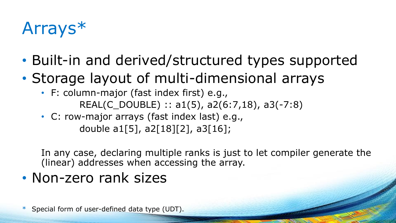## Arrays\*

- Built-in and derived/structured types supported
- Storage layout of multi-dimensional arrays
	- F: column-major (fast index first) e.g., REAL(C\_DOUBLE) :: a1(5), a2(6:7,18), a3(-7:8)
	- C: row-major arrays (fast index last) e.g., double a1[5], a2[18][2], a3[16];

In any case, declaring multiple ranks is just to let compiler generate the (linear) addresses when accessing the array.

• Non-zero rank sizes

Special form of user-defined data type (UDT).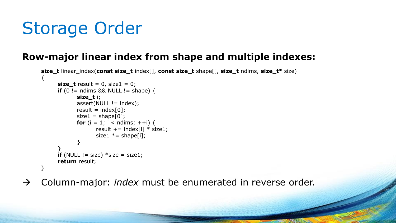### Storage Order

#### **Row-major linear index from shape and multiple indexes:**

```
size_t linear_index(const size_t index[], const size_t shape[], size_t ndims, size_t* size)
\left\{ \right.size t result = 0, size1 = 0;
      if (0 != ndims && NULL != shape) {
             size_t i;
             assert(NULL != index);
             result = index[0];
             size1 = shape[0];for (i = 1; i < ndims; ++i) {
                    result += index[i] * size1;
                    size1 * = shape[i];
             }
      }
      if (NULL != size) *size = size1;
      return result;
}
```
→ Column-major: *index* must be enumerated in reverse order.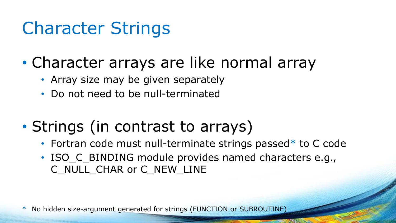#### Character Strings

- Character arrays are like normal array
	- Array size may be given separately
	- Do not need to be null-terminated

#### • Strings (in contrast to arrays)

- Fortran code must null-terminate strings passed\* to C code
- ISO\_C\_BINDING module provides named characters e.g., C\_NULL\_CHAR or C\_NEW\_LINE

\* No hidden size-argument generated for strings (FUNCTION or SUBROUTINE)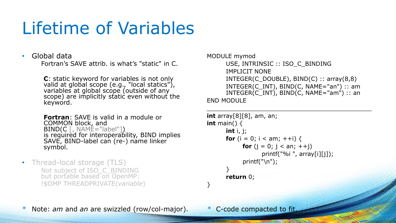#### Lifetime of Variables

#### • Global data

Fortran's SAVE attrib. is what's "static" in C.

**C**: static keyword for variables is not only valid at global scope (e.g., "local statics"), variables at global scope (outside of any scope) are implicitly static even without the keyword.

**Fortran**: SAVE is valid in a module or COMMON block, and  $BIND(C \mid, \text{NAME} = "label"])$ is required for interoperability, BIND implies SAVE, BIND-label can (re-) name linker symbol.

• Thread-local storage (TLS) Not subject of ISO\_C\_BINDING but portable based on OpenMP: !\$OMP THREADPRIVATE(*variable*)

```
MODULE mymod
```
}

```
USE, INTRINSIC :: ISO_C_BINDING
     IMPLICIT NONE
     INTEGR(C_DOUBLE), BIND(C) :: array(8,8)
     INTEGER(C_INT), BIND(C, NAME="an") :: am 
     INTEGR(C_INT), BIND(C, NAME="am"): an
END MODULE
```
\_\_\_\_\_\_\_\_\_\_\_\_\_\_\_\_\_\_\_\_\_\_\_\_\_\_\_\_\_\_\_\_\_\_\_\_\_\_\_\_\_\_\_\_\_

```
int array[8][8], am, an;
int main() {
       int i, j;
       for (i = 0; i < am; ++i) {
            for (i = 0; j < an; ++j)printf("%i", array[i][j]);
             printf("\n\n\rangle;
       }
       return 0;
```
\* Note: *am* and *an* are swizzled (row/col-major). \* C-code compacted to fit.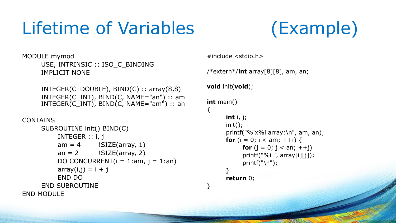#### Lifetime of Variables (Example)



MODULE mymod USE, INTRINSIC :: ISO\_C\_BINDING IMPLICIT NONE

> $INTEGR(C_Double)$ ,  $BIND(C)$  ::  $array(8,8)$  $INTEGR(C_INT)$ ,  $BIND(C, NAME="an")$  :: am  $INTEGR(C_INT)$ ,  $BIND(C, NAME="am")$ : an

```
CONTAINS
```

```
SUBROUTINE init() BIND(C)
         INTEGER :: i, j
         am = 4 !SIZE(array, 1)
         an = 2 !SIZE(array, 2)
         DO CONCURRENT(i = 1:am, j = 1:an)array(i,j) = i + jEND DO
     END SUBROUTINE
END MODULE
```

```
#include <stdio.h>
/*extern*/int array[8][8], am, an;
void init(void);
int main()
\{int i, j;
       init();
       printf("%ix%i array:\n", am, an);
      for (i = 0; i < am; ++i) {
            for (j = 0; j < an; ++j)printf("%i", array[i][j]);
            printf("\n\n\rangle;
       }
       return 0;
}
```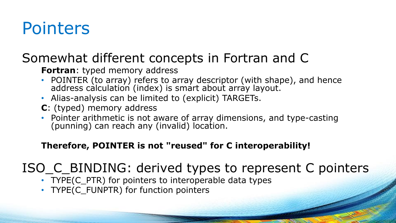#### Pointers

#### Somewhat different concepts in Fortran and C

#### **Fortran**: typed memory address

- POINTER (to array) refers to array descriptor (with shape), and hence address calculation (index) is smart about array layout.
- Alias-analysis can be limited to (explicit) TARGETs.
- **C**: (typed) memory address
- Pointer arithmetic is not aware of array dimensions, and type-casting (punning) can reach any (invalid) location.

#### **Therefore, POINTER is not "reused" for C interoperability!**

#### ISO\_C\_BINDING: derived types to represent C pointers

- TYPE(C\_PTR) for pointers to interoperable data types
- TYPE(C\_FUNPTR) for function pointers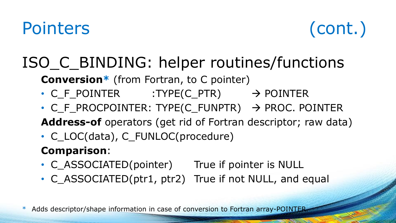#### Pointers (cont.)



#### ISO\_C\_BINDING: helper routines/functions

**Conversion\*** (from Fortran, to C pointer)

- C\_F\_POINTER :TYPE(C\_PTR)  $\rightarrow$  POINTER
- C F PROCPOINTER: TYPE(C FUNPTR)  $\rightarrow$  PROC. POINTER

**Address-of** operators (get rid of Fortran descriptor; raw data)

• C\_LOC(data), C\_FUNLOC(procedure)

#### **Comparison**:

- C\_ASSOCIATED(pointer) True if pointer is NULL
- C ASSOCIATED(ptr1, ptr2) True if not NULL, and equal

\* Adds descriptor/shape information in case of conversion to Fortran array-POINTER.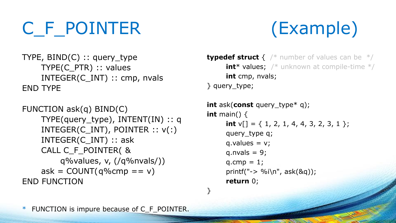## C\_F\_POINTER (Example)

```
TYPE, BIND(C) :: query_type
    TYPE(C_PTR) :: values
    INTEGER(C_INT) :: cmp, nvals
END TYPE
```

```
FUNCTION ask(q) BIND(C)
    TYPE(query_type), INTENT(IN) :: q
    INTEGER(C_INT), POINTER :: v(:)
    INTEGER(C_INT) :: ask
    CALL C_F_POINTER( &
        q%values, v, (/q%nvals/))
    ask = COUNT(q\%cmp == v)END FUNCTION
```
**typedef struct** { /\* number of values can be \*/ **int**\* values; /\* unknown at compile-time \*/ **int** cmp, nvals; } query\_type;

```
int ask(const query_type* q);
int main() {
      int v[i] = \{ 1, 2, 1, 4, 4, 3, 2, 3, 1 \};
      query_type q;
      q.values = v;q.nvals = 9;
      q.cmp = 1;printf("\rightarrow %i\n", ask(&q));
      return 0;
```
}

FUNCTION is impure because of C\_F\_POINTER.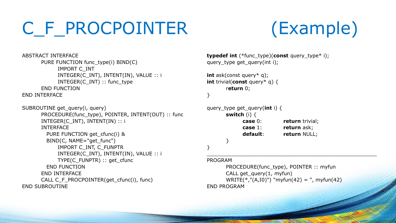## C\_F\_PROCPOINTER (Example)



```
ABSTRACT INTERFACE
      PURE FUNCTION func_type(i) BIND(C)
            IMPORT C_INT
            INTEGER(C_INT), INTENT(IN), VALUE :: i
            INTEGER(C_INT) :: func_type
      END FUNCTION
END INTERFACE
SUBROUTINE get query(i, query)
      PROCEDURE(func_type), POINTER, INTENT(OUT) :: func
      INTEGER(C_INT), INTENT(IN) :: i
      INTERFACE
        PURE FUNCTION get_cfunc(i) &
        BIND(C, NAME="get_func")
            IMPORT C_INT, C_FUNPTR
            INTEGER(C_INT), INTENT(IN), VALUE :: i
            TYPE(C_FUNPTR) :: get_cfunc
        END FUNCTION
      END INTERFACE
      CALL C_F_PROCPOINTER(get_cfunc(i), func)
END SUBROUTINE
```

```
typedef int (*func_type)(const query_type* i);
query type get query(int i);
```

```
int ask(const query* q);
int trivial(const query* q) {
       return 0;
```
#### }

```
query_type get_query(int i) {
      switch (i) {
           case 0: return trivial;
           case 1: return ask;
           default: return NULL;
      }
}
```
#### PROGRAM

PROCEDURE(func\_type), POINTER :: myfun CALL get\_query(1, myfun) WRITE(\*,"(A,I0)") "myfun(42) = ", myfun(42) END PROGRAM

\_\_\_\_\_\_\_\_\_\_\_\_\_\_\_\_\_\_\_\_\_\_\_\_\_\_\_\_\_\_\_\_\_\_\_\_\_\_\_\_\_\_\_\_\_\_\_\_\_\_\_\_\_\_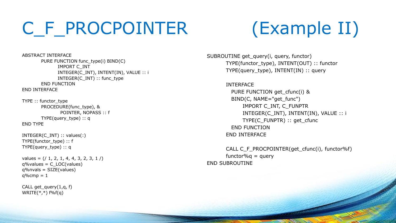#### C\_F\_PROCPOINTER (Example II)

ABSTRACT INTERFACE PURE FUNCTION func\_type(i) BIND(C) IMPORT C\_INT INTEGER(C\_INT), INTENT(IN), VALUE :: i INTEGER(C\_INT) :: func\_type END FUNCTION END INTERFACE

TYPE :: functor\_type PROCEDURE(func\_type), & POINTER, NOPASS :: f TYPE(query\_type) :: q END TYPE

INTEGER(C\_INT) :: values(:) TYPE(functor\_type) :: f TYPE(query\_type) :: q

values =  $($   $/$  1, 2, 1, 4, 4, 3, 2, 3, 1  $/$ )  $q\%$ values =  $C\_LOC(values)$ q%nvals = SIZE(values)  $q\%$ cmp = 1

CALL get  $query(1,q, f)$  $WRITE(*,*)$  f%f(q)

SUBROUTINE get\_query(i, query, functor) TYPE(functor\_type), INTENT(OUT) :: functor TYPE(query\_type), INTENT(IN) :: query

> INTERFACE PURE FUNCTION get cfunc(i) & BIND(C, NAME="get\_func") IMPORT C\_INT, C\_FUNPTR INTEGER(C\_INT), INTENT(IN), VALUE :: i TYPE(C\_FUNPTR) :: get\_cfunc END FUNCTION END INTERFACE

CALL C\_F\_PROCPOINTER(get\_cfunc(i), functor%f) functor% $q =$  query END SUBROUTINE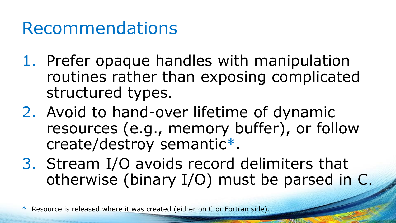#### Recommendations

- 1. Prefer opaque handles with manipulation routines rather than exposing complicated structured types.
- 2. Avoid to hand-over lifetime of dynamic resources (e.g., memory buffer), or follow create/destroy semantic\* .
- 3. Stream I/O avoids record delimiters that otherwise (binary I/O) must be parsed in C.

\* Resource is released where it was created (either on C or Fortran side).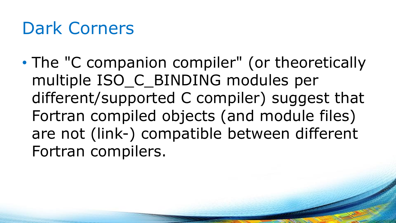#### Dark Corners

• The "C companion compiler" (or theoretically multiple ISO\_C\_BINDING modules per different/supported C compiler) suggest that Fortran compiled objects (and module files) are not (link-) compatible between different Fortran compilers.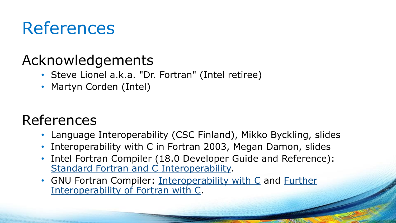#### References

#### Acknowledgements

- Steve Lionel a.k.a. "Dr. Fortran" (Intel retiree)
- Martyn Corden (Intel)

#### References

- Language Interoperability (CSC Finland), Mikko Byckling, slides
- Interoperability with C in Fortran 2003, Megan Damon, slides
- Intel Fortran Compiler (18.0 Developer Guide and Reference): [Standard Fortran and C Interoperability.](https://software.intel.com/en-us/fortran-compiler-18.0-developer-guide-and-reference-standard-fortran-and-c-interoperability)
- [GNU Fortran Compiler:](https://gcc.gnu.org/onlinedocs/gfortran/Further-Interoperability-of-Fortran-with-C.html) [Interoperability with C](https://gcc.gnu.org/onlinedocs/gfortran/Interoperability-with-C.html) and Further Interoperability of Fortran with C.